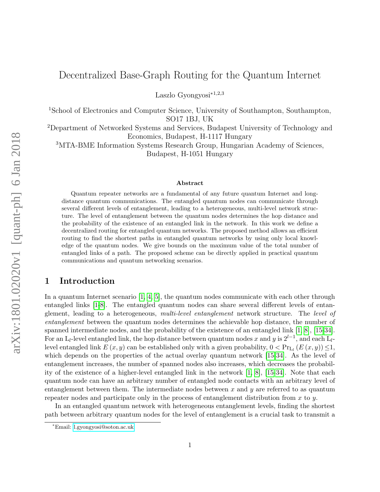Laszlo Gyongyosi<sup>∗</sup>1,2,3

<sup>1</sup>School of Electronics and Computer Science, University of Southampton, Southampton, SO17 1BJ, UK

<sup>2</sup>Department of Networked Systems and Services, Budapest University of Technology and Economics, Budapest, H-1117 Hungary

<sup>3</sup>MTA-BME Information Systems Research Group, Hungarian Academy of Sciences, Budapest, H-1051 Hungary

#### Abstract

Quantum repeater networks are a fundamental of any future quantum Internet and longdistance quantum communications. The entangled quantum nodes can communicate through several different levels of entanglement, leading to a heterogeneous, multi-level network structure. The level of entanglement between the quantum nodes determines the hop distance and the probability of the existence of an entangled link in the network. In this work we define a decentralized routing for entangled quantum networks. The proposed method allows an efficient routing to find the shortest paths in entangled quantum networks by using only local knowledge of the quantum nodes. We give bounds on the maximum value of the total number of entangled links of a path. The proposed scheme can be directly applied in practical quantum communications and quantum networking scenarios.

### 1 Introduction

In a quantum Internet scenario [\[1,](#page-11-0) [4,](#page-11-1) [5\]](#page-11-2), the quantum nodes communicate with each other through entangled links [\[1-](#page-11-0)[8\]](#page-11-3). The entangled quantum nodes can share several different levels of entanglement, leading to a heterogeneous, multi-level entanglement network structure. The level of entanglement between the quantum nodes determines the achievable hop distance, the number of spanned intermediate nodes, and the probability of the existence of an entangled link [\[1,](#page-11-0) [8\]](#page-11-3), [\[15-](#page-12-0)[34\]](#page-13-0). For an L<sub>l</sub>-level entangled link, the hop distance between quantum nodes x and y is  $2^{l-1}$ , and each L<sub>l</sub>level entangled link  $E(x, y)$  can be established only with a given probability,  $0 < Pr_{L_l}(E(x, y)) \leq 1$ , which depends on the properties of the actual overlay quantum network [\[15-](#page-12-0)[34\]](#page-13-0). As the level of entanglement increases, the number of spanned nodes also increases, which decreases the probability of the existence of a higher-level entangled link in the network [\[1,](#page-11-0) [8\]](#page-11-3), [\[15-](#page-12-0)[34\]](#page-13-0). Note that each quantum node can have an arbitrary number of entangled node contacts with an arbitrary level of entanglement between them. The intermediate nodes between x and y are referred to as quantum repeater nodes and participate only in the process of entanglement distribution from  $x$  to  $y$ .

In an entangled quantum network with heterogeneous entanglement levels, finding the shortest path between arbitrary quantum nodes for the level of entanglement is a crucial task to transmit a

<sup>∗</sup>Email: [l.gyongyosi@soton.ac.uk](mailto:l.gyongyosi@soton.ac.uk)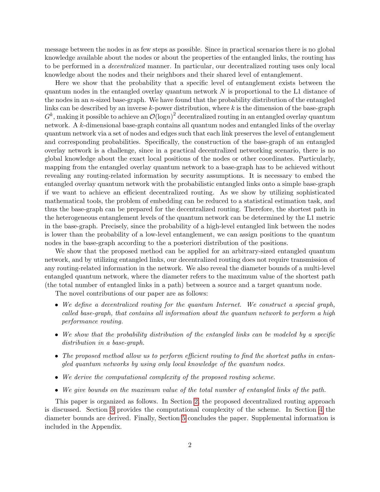message between the nodes in as few steps as possible. Since in practical scenarios there is no global knowledge available about the nodes or about the properties of the entangled links, the routing has to be performed in a decentralized manner. In particular, our decentralized routing uses only local knowledge about the nodes and their neighbors and their shared level of entanglement.

Here we show that the probability that a specific level of entanglement exists between the quantum nodes in the entangled overlay quantum network  $N$  is proportional to the L1 distance of the nodes in an n-sized base-graph. We have found that the probability distribution of the entangled links can be described by an inverse  $k$ -power distribution, where  $k$  is the dimension of the base-graph  $G^k$ , making it possible to achieve an  $\mathcal{O}(\text{log}n)^2$  decentralized routing in an entangled overlay quantum network. A k-dimensional base-graph contains all quantum nodes and entangled links of the overlay quantum network via a set of nodes and edges such that each link preserves the level of entanglement and corresponding probabilities. Specifically, the construction of the base-graph of an entangled overlay network is a challenge, since in a practical decentralized networking scenario, there is no global knowledge about the exact local positions of the nodes or other coordinates. Particularly, mapping from the entangled overlay quantum network to a base-graph has to be achieved without revealing any routing-related information by security assumptions. It is necessary to embed the entangled overlay quantum network with the probabilistic entangled links onto a simple base-graph if we want to achieve an efficient decentralized routing. As we show by utilizing sophisticated mathematical tools, the problem of embedding can be reduced to a statistical estimation task, and thus the base-graph can be prepared for the decentralized routing. Therefore, the shortest path in the heterogeneous entanglement levels of the quantum network can be determined by the L1 metric in the base-graph. Precisely, since the probability of a high-level entangled link between the nodes is lower than the probability of a low-level entanglement, we can assign positions to the quantum nodes in the base-graph according to the a posteriori distribution of the positions.

We show that the proposed method can be applied for an arbitrary-sized entangled quantum network, and by utilizing entangled links, our decentralized routing does not require transmission of any routing-related information in the network. We also reveal the diameter bounds of a multi-level entangled quantum network, where the diameter refers to the maximum value of the shortest path (the total number of entangled links in a path) between a source and a target quantum node.

The novel contributions of our paper are as follows:

- We define a decentralized routing for the quantum Internet. We construct a special graph, called base-graph, that contains all information about the quantum network to perform a high performance routing.
- We show that the probability distribution of the entangled links can be modeled by a specific distribution in a base-graph.
- The proposed method allow us to perform efficient routing to find the shortest paths in entangled quantum networks by using only local knowledge of the quantum nodes.
- We derive the computational complexity of the proposed routing scheme.
- We give bounds on the maximum value of the total number of entangled links of the path.

This paper is organized as follows. In Section [2,](#page-2-0) the proposed decentralized routing approach is discussed. Section [3](#page-8-0) provides the computational complexity of the scheme. In Section [4](#page-9-0) the diameter bounds are derived. Finally, Section [5](#page-10-0) concludes the paper. Supplemental information is included in the Appendix.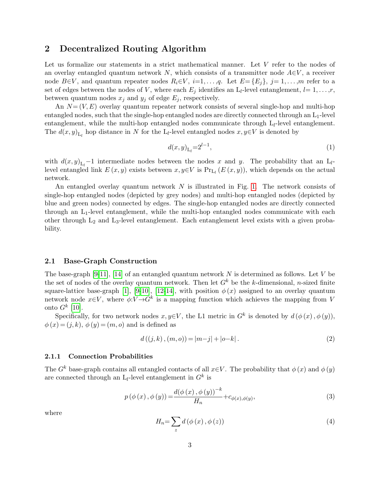# <span id="page-2-0"></span>2 Decentralized Routing Algorithm

Let us formalize our statements in a strict mathematical manner. Let V refer to the nodes of an overlay entangled quantum network N, which consists of a transmitter node  $A \in V$ , a receiver node  $B\in V$ , and quantum repeater nodes  $R_i\in V$ ,  $i=1,\ldots,q$ . Let  $E=\{E_i\}$ ,  $j=1,\ldots,m$  refer to a set of edges between the nodes of V, where each  $E_j$  identifies an  $L_l$ -level entanglement,  $l=1,\ldots,r$ , between quantum nodes  $x_j$  and  $y_j$  of edge  $E_j$ , respectively.

An  $N=(V, E)$  overlay quantum repeater network consists of several single-hop and multi-hop entangled nodes, such that the single-hop entangled nodes are directly connected through an  $L_1$ -level entanglement, while the multi-hop entangled nodes communicate through  $L_l$ -level entanglement. The  $d(x, y)$ <sub>L<sub>l</sub></sub> hop distance in N for the L<sub>l</sub>-level entangled nodes  $x, y \in V$  is denoted by

$$
d(x,y)_{\mathcal{L}_l} = 2^{l-1},\tag{1}
$$

with  $d(x, y)_{L_l}$  –1 intermediate nodes between the nodes x and y. The probability that an  $L_l$ level entangled link  $E(x, y)$  exists between  $x, y \in V$  is  $Pr_{L_l}(E(x, y))$ , which depends on the actual network.

An entangled overlay quantum network  $N$  is illustrated in Fig. [1.](#page-3-0) The network consists of single-hop entangled nodes (depicted by grey nodes) and multi-hop entangled nodes (depicted by blue and green nodes) connected by edges. The single-hop entangled nodes are directly connected through an L1-level entanglement, while the multi-hop entangled nodes communicate with each other through  $L_2$  and  $L_3$ -level entanglement. Each entanglement level exists with a given probability.

### 2.1 Base-Graph Construction

The base-graph [\[9](#page-11-4)[-11\]](#page-11-5), [\[14\]](#page-12-1) of an entangled quantum network N is determined as follows. Let V be the set of nodes of the overlay quantum network. Then let  $G<sup>k</sup>$  be the k-dimensional, n-sized finite square-lattice base-graph [\[1\]](#page-11-0), [\[9-](#page-11-4)[10\]](#page-11-6), [\[12-](#page-11-7)[14\]](#page-12-1), with position  $\phi(x)$  assigned to an overlay quantum network node  $x \in V$ , where  $\phi: V \to G^k$  is a mapping function which achieves the mapping from V onto  $G^k$  [\[10\]](#page-11-6).

Specifically, for two network nodes  $x, y \in V$ , the L1 metric in  $G^k$  is denoted by  $d(\phi(x), \phi(y))$ ,  $\phi(x) = (i, k), \phi(y) = (m, o)$  and is defined as

$$
d((j,k),(m,o)) = |m-j| + |o-k|.
$$
 (2)

#### 2.1.1 Connection Probabilities

The  $G^k$  base-graph contains all entangled contacts of all  $x\in V$ . The probability that  $\phi(x)$  and  $\phi(y)$ are connected through an  $L_l$ -level entanglement in  $G^k$  is

<span id="page-2-1"></span>
$$
p(\phi(x), \phi(y)) = \frac{d(\phi(x), \phi(y))^{-k}}{H_n} + c_{\phi(x), \phi(y)},
$$
\n(3)

where

$$
H_n = \sum_z d\left(\phi\left(x\right), \phi\left(z\right)\right) \tag{4}
$$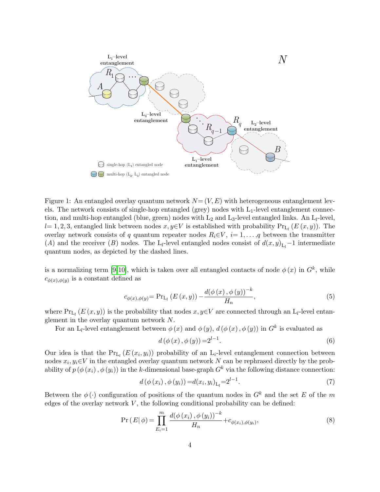

<span id="page-3-0"></span>Figure 1: An entangled overlay quantum network  $N=(V, E)$  with heterogeneous entanglement levels. The network consists of single-hop entangled (grey) nodes with  $L_1$ -level entanglement connection, and multi-hop entangled (blue, green) nodes with  $L_2$  and  $L_3$ -level entangled links. An  $L_l$ -level,  $l= 1, 2, 3$ , entangled link between nodes  $x, y \in V$  is established with probability  $Pr_{L_l}(E(x, y))$ . The overlay network consists of q quantum repeater nodes  $R_i \in V$ ,  $i=1,\ldots,q$  between the transmitter (A) and the receiver (B) nodes. The L<sub>l</sub>-level entangled nodes consist of  $d(x, y)_{L_l} - 1$  intermediate quantum nodes, as depicted by the dashed lines.

is a normalizing term [\[9-](#page-11-4)[10\]](#page-11-6), which is taken over all entangled contacts of node  $\phi(x)$  in  $G<sup>k</sup>$ , while  $c_{\phi(x),\phi(y)}$  is a constant defined as

$$
c_{\phi(x),\phi(y)} = \Pr_{L_l}(E(x,y)) - \frac{d(\phi(x),\phi(y))^{-k}}{H_n},
$$
\n(5)

where  $Pr_{L_l}(E(x, y))$  is the probability that nodes  $x, y \in V$  are connected through an  $L_l$ -level entanglement in the overlay quantum network N.

For an L<sub>l</sub>-level entanglement between  $\phi(x)$  and  $\phi(y)$ ,  $d(\phi(x), \phi(y))$  in  $G^k$  is evaluated as

$$
d(\phi(x), \phi(y)) = 2^{l-1}.
$$
 (6)

Our idea is that the  $Pr_{L_l}(E(x_i, y_i))$  probability of an L<sub>i</sub>-level entanglement connection between nodes  $x_i, y_i \in V$  in the entangled overlay quantum network N can be rephrased directly by the probability of  $p(\phi(x_i), \phi(y_i))$  in the k-dimensional base-graph  $G^k$  via the following distance connection:

$$
d(\phi(x_i), \phi(y_i)) = d(x_i, y_i)_{L_l} = 2^{l-1}.
$$
\n(7)

Between the  $\phi(\cdot)$  configuration of positions of the quantum nodes in  $G^k$  and the set E of the m edges of the overlay network  $V$ , the following conditional probability can be defined:

<span id="page-3-1"></span>
$$
\Pr(E|\phi) = \prod_{E_i=1}^{m} \frac{d(\phi(x_i), \phi(y_i))^{-k}}{H_n} + c_{\phi(x_i), \phi(y_i)},
$$
\n(8)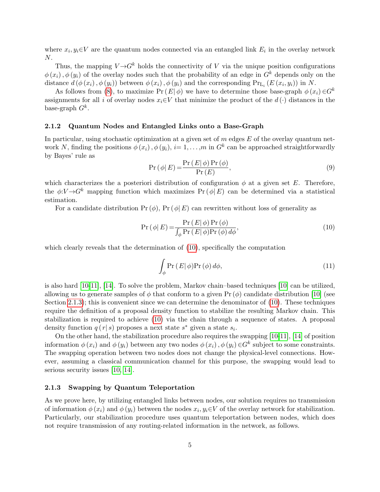where  $x_i, y_i \in V$  are the quantum nodes connected via an entangled link  $E_i$  in the overlay network N.

Thus, the mapping  $V \rightarrow G^k$  holds the connectivity of V via the unique position configurations  $\phi(x_i), \phi(y_i)$  of the overlay nodes such that the probability of an edge in  $G^k$  depends only on the distance  $d(\phi(x_i), \phi(y_i))$  between  $\phi(x_i), \phi(y_i)$  and the corresponding  $Pr_{L_i}(E(x_i, y_i))$  in N.

As follows from [\(8\)](#page-3-1), to maximize  $Pr(E|\phi)$  we have to determine those base-graph  $\phi(x_i) \in G^k$ assignments for all i of overlay nodes  $x_i \in V$  that minimize the product of the  $d(\cdot)$  distances in the base-graph  $G^k$ .

#### 2.1.2 Quantum Nodes and Entangled Links onto a Base-Graph

In particular, using stochastic optimization at a given set of  $m$  edges  $E$  of the overlay quantum network N, finding the positions  $\phi(x_i)$ ,  $\phi(y_i)$ ,  $i = 1, ..., m$  in  $G^k$  can be approached straightforwardly by Bayes' rule as

<span id="page-4-1"></span>
$$
Pr(\phi|E) = \frac{Pr(E|\phi)Pr(\phi)}{Pr(E)},
$$
\n(9)

which characterizes the a posteriori distribution of configuration  $\phi$  at a given set E. Therefore, the  $\phi: V \to G^k$  mapping function which maximizes Pr ( $\phi | E$ ) can be determined via a statistical estimation.

For a candidate distribution  $Pr(\phi)$ ,  $Pr(\phi|E)$  can rewritten without loss of generality as

<span id="page-4-0"></span>
$$
\Pr\left(\phi|E\right) = \frac{\Pr\left(E|\phi\right)\Pr\left(\phi\right)}{\int_{\phi}\Pr\left(E|\phi\right)\Pr\left(\phi\right)d\phi},\tag{10}
$$

which clearly reveals that the determination of  $(10)$ , specifically the computation

$$
\int_{\phi} \Pr(E|\phi) \Pr(\phi) d\phi,\tag{11}
$$

is also hard [\[10-](#page-11-6)[11\]](#page-11-5), [\[14\]](#page-12-1). To solve the problem, Markov chain–based techniques [\[10\]](#page-11-6) can be utilized, allowing us to generate samples of  $\phi$  that conform to a given Pr  $(\phi)$  candidate distribution [\[10\]](#page-11-6) (see Section [2.1.3\)](#page-6-0); this is convenient since we can determine the denominator of  $(10)$ . These techniques require the definition of a proposal density function to stabilize the resulting Markov chain. This stabilization is required to achieve [\(10\)](#page-4-0) via the chain through a sequence of states. A proposal density function  $q(r|s)$  proposes a next state  $s^*$  given a state  $s_i$ .

On the other hand, the stabilization procedure also requires the swapping [\[10-](#page-11-6)[11\]](#page-11-5), [\[14\]](#page-12-1) of position information  $\phi(x_i)$  and  $\phi(y_i)$  between any two nodes  $\phi(x_i)$ ,  $\phi(y_i) \in G^k$  subject to some constraints. The swapping operation between two nodes does not change the physical-level connections. However, assuming a classical communication channel for this purpose, the swapping would lead to serious security issues [\[10,](#page-11-6) [14\]](#page-12-1).

#### 2.1.3 Swapping by Quantum Teleportation

As we prove here, by utilizing entangled links between nodes, our solution requires no transmission of information  $\phi(x_i)$  and  $\phi(y_i)$  between the nodes  $x_i, y_i \in V$  of the overlay network for stabilization. Particularly, our stabilization procedure uses quantum teleportation between nodes, which does not require transmission of any routing-related information in the network, as follows.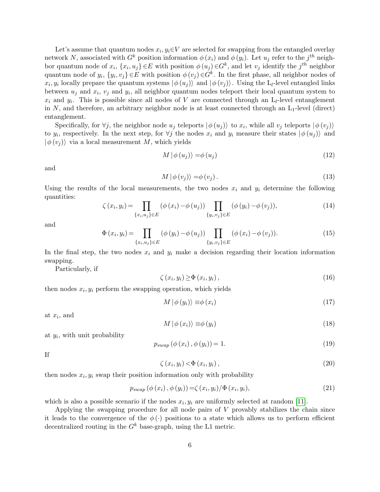Let's assume that quantum nodes  $x_i, y_i \in V$  are selected for swapping from the entangled overlay network N, associated with  $G^k$  position information  $\phi(x_i)$  and  $\phi(y_i)$ . Let  $u_j$  refer to the  $j^{th}$  neighbor quantum node of  $x_i$ ,  $\{x_i, u_j\} \in E$  with position  $\phi(u_j) \in G^k$ , and let  $v_j$  identify the  $j^{th}$  neighbor quantum node of  $y_i$ ,  $\{y_i, v_j\} \in E$  with position  $\phi(v_j) \in G^k$ . In the first phase, all neighbor nodes of  $x_i, y_i$  locally prepare the quantum systems  $|\phi(u_j)\rangle$  and  $|\phi(v_j)\rangle$ . Using the L<sub>l</sub>-level entangled links between  $u_j$  and  $x_i$ ,  $v_j$  and  $y_i$ , all neighbor quantum nodes teleport their local quantum system to  $x_i$  and  $y_i$ . This is possible since all nodes of V are connected through an  $L_l$ -level entanglement in N, and therefore, an arbitrary neighbor node is at least connected through an  $L_1$ -level (direct) entanglement.

Specifically, for  $\forall j$ , the neighbor node  $u_j$  teleports  $|\phi(u_j)\rangle$  to  $x_i$ , while all  $v_j$  teleports  $|\phi(v_j)\rangle$ to  $y_i$ , respectively. In the next step, for  $\forall j$  the nodes  $x_i$  and  $y_i$  measure their states  $|\phi(u_j)\rangle$  and  $|\phi(v_i)\rangle$  via a local measurement M, which yields

$$
M | \phi (u_j) \rangle = \phi (u_j) \tag{12}
$$

and

$$
M|\phi(v_j)\rangle = \phi(v_j). \tag{13}
$$

Using the results of the local measurements, the two nodes  $x_i$  and  $y_i$  determine the following quantities:

$$
\zeta(x_i, y_i) = \prod_{\{x_i, u_j\} \in E} (\phi(x_i) - \phi(u_j)) \prod_{\{y_i, v_j\} \in E} (\phi(y_i) - \phi(v_j)),
$$
\n(14)

and

$$
\Phi(x_i, y_i) = \prod_{\{x_i, u_j\} \in E} (\phi(y_i) - \phi(u_j)) \prod_{\{y_i, v_j\} \in E} (\phi(x_i) - \phi(v_j)).
$$
\n(15)

In the final step, the two nodes  $x_i$  and  $y_i$  make a decision regarding their location information swapping.

Particularly, if

$$
\zeta(x_i, y_i) \ge \Phi(x_i, y_i), \qquad (16)
$$

then nodes  $x_i, y_i$  perform the swapping operation, which yields

$$
M \mid \phi(y_i) \rangle \equiv \phi(x_i) \tag{17}
$$

at  $x_i$ , and

$$
M | \phi (x_i) \rangle \equiv \phi (y_i) \tag{18}
$$

at  $y_i$ , with unit probability

$$
p_{swap}(\phi(x_i), \phi(y_i)) = 1.
$$
\n<sup>(19)</sup>

If

$$
\zeta(x_i, y_i) \langle \Phi(x_i, y_i), \qquad (20)
$$

then nodes  $x_i, y_i$  swap their position information only with probability

$$
p_{swap}(\phi(x_i), \phi(y_i)) = \zeta(x_i, y_i) / \Phi(x_i, y_i), \qquad (21)
$$

which is also a possible scenario if the nodes  $x_i, y_i$  are uniformly selected at random [\[11\]](#page-11-5).

Applying the swapping procedure for all node pairs of  $V$  provably stabilizes the chain since it leads to the convergence of the  $\phi(\cdot)$  positions to a state which allows us to perform efficient decentralized routing in the  $G<sup>k</sup>$  base-graph, using the L1 metric.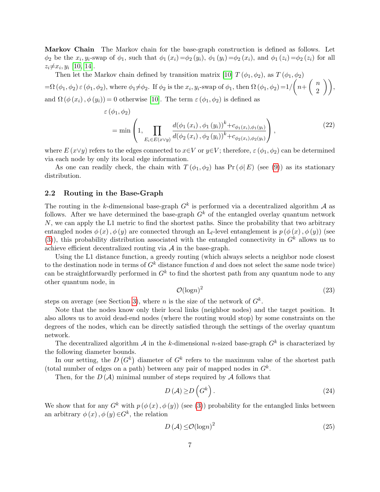<span id="page-6-0"></span>Markov Chain The Markov chain for the base-graph construction is defined as follows. Let  $\phi_2$  be the  $x_i, y_i$ -swap of  $\phi_1$ , such that  $\phi_1(x_i) = \phi_2(y_i)$ ,  $\phi_1(y_i) = \phi_2(x_i)$ , and  $\phi_1(z_i) = \phi_2(z_i)$  for all  $z_i \neq x_i, y_i$  [\[10,](#page-11-6) [14\]](#page-12-1).

Then let the Markov chain defined by transition matrix [\[10\]](#page-11-6)  $T(\phi_1, \phi_2)$ , as  $T(\phi_1, \phi_2)$  $=\Omega(\phi_1,\phi_2)\in(\phi_1,\phi_2)$ , where  $\phi_1\neq\phi_2$ . If  $\phi_2$  is the  $x_i,y_i$ -swap of  $\phi_1$ , then  $\Omega(\phi_1,\phi_2)=1/\left(n+\left(\begin{array}{c}n\ 0\end{array}\right)\right)$  $\binom{n}{2}$ , and  $\Omega$  ( $\phi(x_i)$ ,  $\phi(y_i)$ ) = 0 otherwise [\[10\]](#page-11-6). The term  $\varepsilon$  ( $\phi_1$ ,  $\phi_2$ ) is defined as

$$
\varepsilon(\phi_1, \phi_2) = \min\left(1, \prod_{E_i \in E(x \vee y)} \frac{d(\phi_1(x_i), \phi_1(y_i))^k + c_{\phi_1(x_i), \phi_1(y_i)}}{d(\phi_2(x_i), \phi_2(y_i))^k + c_{\phi_2(x_i), \phi_2(y_i)}}\right),
$$
\n(22)

where  $E(x\vee y)$  refers to the edges connected to  $x\in V$  or  $y\in V$ ; therefore,  $\varepsilon(\phi_1,\phi_2)$  can be determined via each node by only its local edge information.

As one can readily check, the chain with  $T(\phi_1, \phi_2)$  has Pr ( $\phi | E$ ) (see [\(9\)](#page-4-1)) as its stationary distribution.

#### 2.2 Routing in the Base-Graph

The routing in the k-dimensional base-graph  $G^k$  is performed via a decentralized algorithm A as follows. After we have determined the base-graph  $G<sup>k</sup>$  of the entangled overlay quantum network  $N$ , we can apply the L1 metric to find the shortest paths. Since the probability that two arbitrary entangled nodes  $\phi(x)$ ,  $\phi(y)$  are connected through an L<sub>l</sub>-level entanglement is  $p(\phi(x), \phi(y))$  (see [\(3\)](#page-2-1)), this probability distribution associated with the entangled connectivity in  $G<sup>k</sup>$  allows us to achieve efficient decentralized routing via  $A$  in the base-graph.

Using the L1 distance function, a greedy routing (which always selects a neighbor node closest to the destination node in terms of  $G<sup>k</sup>$  distance function d and does not select the same node twice) can be straightforwardly performed in  $G<sup>k</sup>$  to find the shortest path from any quantum node to any other quantum node, in

$$
\mathcal{O}(\log n)^2\tag{23}
$$

steps on average (see Section [3\)](#page-8-0), where *n* is the size of the network of  $G^k$ .

Note that the nodes know only their local links (neighbor nodes) and the target position. It also allows us to avoid dead-end nodes (where the routing would stop) by some constraints on the degrees of the nodes, which can be directly satisfied through the settings of the overlay quantum network.

The decentralized algorithm A in the k-dimensional n-sized base-graph  $G^k$  is characterized by the following diameter bounds.

In our setting, the  $D(G^k)$  diameter of  $G^k$  refers to the maximum value of the shortest path (total number of edges on a path) between any pair of mapped nodes in  $G<sup>k</sup>$ .

Then, for the  $D(\mathcal{A})$  minimal number of steps required by  $\mathcal A$  follows that

$$
D(\mathcal{A}) \ge D\left(G^k\right). \tag{24}
$$

We show that for any  $G^k$  with  $p(\phi(x), \phi(y))$  (see [\(3\)](#page-2-1)) probability for the entangled links between an arbitrary  $\phi(x)$ ,  $\phi(y) \in G^k$ , the relation

$$
D(\mathcal{A}) \le \mathcal{O}(\log n)^2 \tag{25}
$$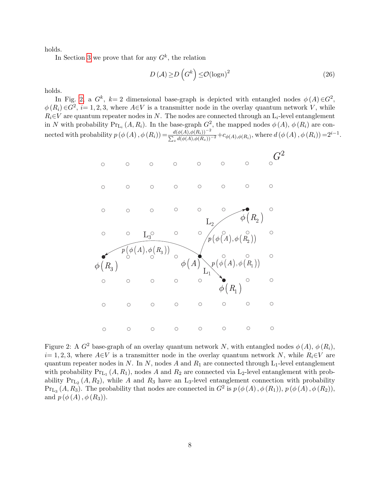holds.

In Section [3](#page-8-0) we prove that for any  $G^k$ , the relation

$$
D(\mathcal{A}) \ge D\left(G^k\right) \le \mathcal{O}(\log n)^2 \tag{26}
$$

holds.

In Fig. [2,](#page-7-0) a  $G^k$ ,  $k=2$  dimensional base-graph is depicted with entangled nodes  $\phi(A) \in G^2$ ,  $\phi(R_i) \in G^2$ ,  $i=1,2,3$ , where  $A \in V$  is a transmitter node in the overlay quantum network V, while  $R_i \in V$  are quantum repeater nodes in N. The nodes are connected through an  $L_i$ -level entanglement in N with probability  $Pr_{L_i}(A, R_i)$ . In the base-graph  $G^2$ , the mapped nodes  $\phi(A), \phi(R_i)$  are connected with probability  $p(\phi(A), \phi(R_i)) = \frac{d(\phi(A), \phi(R_i))^{-2}}{\sum_{z} d(\phi(A), \phi(R_z))^{-2}} + c_{\phi(A), \phi(R_i)}$ , where  $d(\phi(A), \phi(R_i)) = 2^{i-1}$ .



<span id="page-7-0"></span>Figure 2: A  $G^2$  base-graph of an overlay quantum network N, with entangled nodes  $\phi(A)$ ,  $\phi(R_i)$ ,  $i= 1, 2, 3$ , where  $A\in V$  is a transmitter node in the overlay quantum network N, while  $R_i\in V$  are quantum repeater nodes in N. In N, nodes A and  $R_1$  are connected through  $L_1$ -level entanglement with probability  $Pr_{L_1}(A, R_1)$ , nodes A and  $R_2$  are connected via L<sub>2</sub>-level entanglement with probability  $Pr_{L_2}(A, R_2)$ , while A and  $R_3$  have an L<sub>3</sub>-level entanglement connection with probability  $Pr_{L_3}(A, R_3)$ . The probability that nodes are connected in  $G^2$  is  $p(\phi(A), \phi(R_1)), p(\phi(A), \phi(R_2)),$ and  $p(\phi(A), \phi(R_3))$ .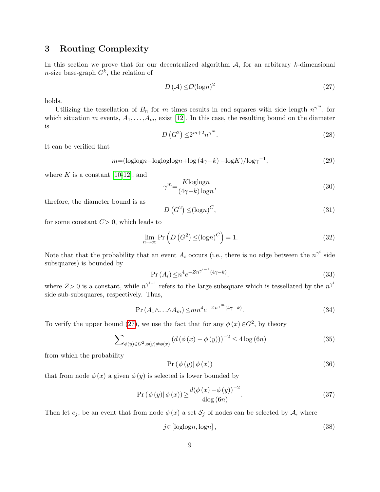## <span id="page-8-0"></span>3 Routing Complexity

In this section we prove that for our decentralized algorithm  $A$ , for an arbitrary k-dimensional *n*-size base-graph  $G^k$ , the relation of

<span id="page-8-1"></span>
$$
D(\mathcal{A}) \le \mathcal{O}(\log n)^2 \tag{27}
$$

holds.

Utilizing the tessellation of  $B_n$  for m times results in end squares with side length  $n^{\gamma^m}$ , for which situation m events,  $A_1, \ldots, A_m$ , exist [\[12\]](#page-11-7). In this case, the resulting bound on the diameter is

$$
D\left(G^2\right) \le 2^{m+2} n^{\gamma^m}.\tag{28}
$$

It can be verified that

$$
m = (\log \log n - \log \log \log n + \log (4\gamma - k) - \log K) / \log \gamma^{-1},\tag{29}
$$

where  $K$  is a constant [\[10-](#page-11-6)[12\]](#page-11-7), and

$$
\gamma^m = \frac{K \log \log n}{(4\gamma - k) \log n},\tag{30}
$$

threfore, the diameter bound is as

$$
D\left(G^2\right) \leq (\log n)^C,\tag{31}
$$

for some constant  $C>0$ , which leads to

$$
\lim_{n \to \infty} \Pr\left(D\left(G^2\right) \leq (\log n)^C\right) = 1. \tag{32}
$$

Note that that the probability that an event  $A_i$  occurs (i.e., there is no edge between the  $n^{\gamma^i}$  side subsquares) is bounded by

$$
\Pr\left(A_i\right) \leq n^4 e^{-Zn^{\gamma^{i-1}}(4\gamma - k)},\tag{33}
$$

where  $Z>0$  is a constant, while  $n^{\gamma^{i-1}}$  refers to the large subsquare which is tessellated by the  $n^{\gamma^i}$ side sub-subsquares, respectively. Thus,

$$
\Pr\left(A_1 \wedge \ldots \wedge A_m\right) \le mn^4 e^{-Zn^{\gamma^m}(4\gamma - k)}.
$$
\n(34)

To verify the upper bound [\(27\)](#page-8-1), we use the fact that for any  $\phi(x) \in G^2$ , by theory

$$
\sum_{\phi(y)\in G^2, \phi(y)\neq \phi(x)} \left( d(\phi(x) - \phi(y)) \right)^{-2} \le 4 \log(6n) \tag{35}
$$

from which the probability

$$
Pr(\phi(y) | \phi(x))
$$
\n(36)

that from node  $\phi(x)$  a given  $\phi(y)$  is selected is lower bounded by

$$
\Pr\left(\phi\left(y\right)|\phi\left(x\right)\right) \ge \frac{d(\phi\left(x\right) - \phi\left(y\right))^{-2}}{4\log\left(6n\right)}.\tag{37}
$$

Then let  $e_j$ , be an event that from node  $\phi(x)$  a set  $S_j$  of nodes can be selected by A, where

$$
j \in [\text{loglog} n, \text{log} n],\tag{38}
$$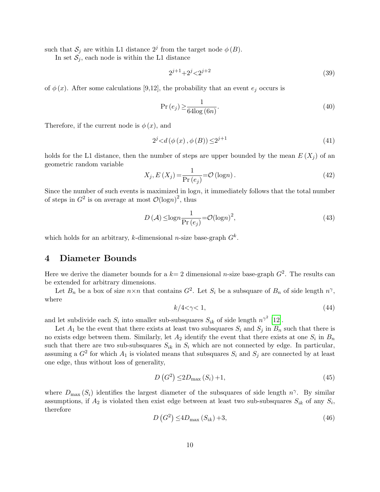such that  $S_j$  are within L1 distance  $2^j$  from the target node  $\phi(B)$ .

In set  $S_j$ , each node is within the L1 distance

$$
2^{j+1} + 2^j < 2^{j+2} \tag{39}
$$

of  $\phi(x)$ . After some calculations [9,12], the probability that an event  $e_i$  occurs is

$$
\Pr\left(e_j\right) \ge \frac{1}{64\log\left(6n\right)}.\tag{40}
$$

Therefore, if the current node is  $\phi(x)$ , and

$$
2^{j} < d(\phi(x), \phi(B)) \le 2^{j+1}
$$
\n(41)

holds for the L1 distance, then the number of steps are upper bounded by the mean  $E(X_i)$  of an geometric random variable

$$
X_j, E(X_j) = \frac{1}{\Pr(e_j)} = \mathcal{O}(\log n). \tag{42}
$$

Since the number of such events is maximized in logn, it immediately follows that the total number of steps in  $G^2$  is on average at most  $\mathcal{O}(\log n)^2$ , thus

$$
D(\mathcal{A}) \le \log n \frac{1}{\Pr(e_j)} = \mathcal{O}(\log n)^2,\tag{43}
$$

which holds for an arbitrary, k-dimensional *n*-size base-graph  $G^k$ .

### <span id="page-9-0"></span>4 Diameter Bounds

Here we derive the diameter bounds for a  $k=2$  dimensional *n*-size base-graph  $G^2$ . The results can be extended for arbitrary dimensions.

Let  $B_n$  be a box of size  $n \times n$  that contains  $G^2$ . Let  $S_i$  be a subsquare of  $B_n$  of side length  $n^{\gamma}$ , where

$$
k/4 < \gamma < 1,\tag{44}
$$

and let subdivide each  $S_i$  into smaller sub-subsquares  $S_{ik}$  of side length  $n^{\gamma^2}$  [\[12\]](#page-11-7).

Let  $A_1$  be the event that there exists at least two subsquares  $S_i$  and  $S_j$  in  $B_n$  such that there is no exists edge between them. Similarly, let  $A_2$  identify the event that there exists at one  $S_i$  in  $B_n$ such that there are two sub-subsquares  $S_{ik}$  in  $S_i$  which are not connected by edge. In particular, assuming a  $G^2$  for which  $A_1$  is violated means that subsquares  $S_i$  and  $S_j$  are connected by at least one edge, thus without loss of generality,

$$
D\left(G^2\right) \le 2D_{\text{max}}\left(S_i\right) + 1,\tag{45}
$$

where  $D_{\text{max}}(S_i)$  identifies the largest diameter of the subsquares of side length  $n^{\gamma}$ . By similar assumptions, if  $A_2$  is violated then exist edge between at least two sub-subsquares  $S_{ik}$  of any  $S_i$ , therefore

$$
D\left(G^2\right) \le 4D_{\text{max}}\left(S_{ik}\right) + 3,\tag{46}
$$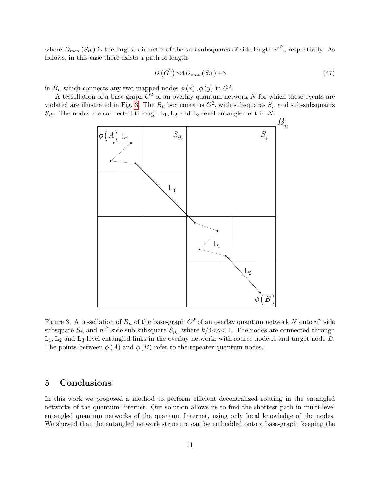where  $D_{\text{max}}(S_{ik})$  is the largest diameter of the sub-subsquares of side length  $n^{\gamma^2}$ , respectively. As follows, in this case there exists a path of length

$$
D\left(G^2\right) \le 4D_{\text{max}}\left(S_{ik}\right) + 3\tag{47}
$$

in  $B_n$  which connects any two mapped nodes  $\phi(x)$ ,  $\phi(y)$  in  $G^2$ .

A tessellation of a base-graph  $G<sup>2</sup>$  of an overlay quantum network N for which these events are violated are illustrated in Fig. [3.](#page-10-1) The  $B_n$  box contains  $G^2$ , with subsquares  $S_i$ , and sub-subsquares  $S_{ik}$ . The nodes are connected through  $L_1, L_2$  and  $L_3$ -level entanglement in N.



<span id="page-10-1"></span>Figure 3: A tessellation of  $B_n$  of the base-graph  $G^2$  of an overlay quantum network N onto  $n^{\gamma}$  side subsquare  $S_i$ , and  $n^{\gamma^2}$  side sub-subsquare  $S_{ik}$ , where  $k/4<\gamma<1$ . The nodes are connected through  $L_1, L_2$  and  $L_3$ -level entangled links in the overlay network, with source node A and target node B. The points between  $\phi(A)$  and  $\phi(B)$  refer to the repeater quantum nodes.

## <span id="page-10-0"></span>5 Conclusions

In this work we proposed a method to perform efficient decentralized routing in the entangled networks of the quantum Internet. Our solution allows us to find the shortest path in multi-level entangled quantum networks of the quantum Internet, using only local knowledge of the nodes. We showed that the entangled network structure can be embedded onto a base-graph, keeping the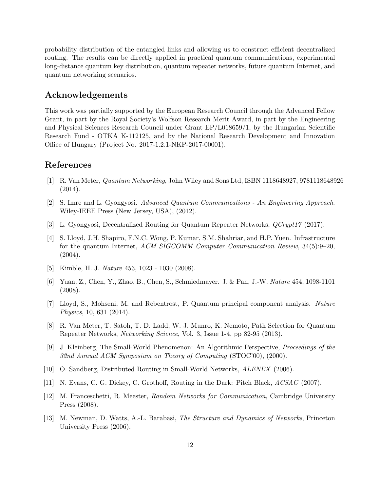probability distribution of the entangled links and allowing us to construct efficient decentralized routing. The results can be directly applied in practical quantum communications, experimental long-distance quantum key distribution, quantum repeater networks, future quantum Internet, and quantum networking scenarios.

### Acknowledgements

This work was partially supported by the European Research Council through the Advanced Fellow Grant, in part by the Royal Society's Wolfson Research Merit Award, in part by the Engineering and Physical Sciences Research Council under Grant EP/L018659/1, by the Hungarian Scientific Research Fund - OTKA K-112125, and by the National Research Development and Innovation Office of Hungary (Project No. 2017-1.2.1-NKP-2017-00001).

# References

- <span id="page-11-0"></span>[1] R. Van Meter, Quantum Networking, John Wiley and Sons Ltd, ISBN 1118648927, 9781118648926 (2014).
- [2] S. Imre and L. Gyongyosi. Advanced Quantum Communications An Engineering Approach. Wiley-IEEE Press (New Jersey, USA), (2012).
- [3] L. Gyongyosi, Decentralized Routing for Quantum Repeater Networks, QCrypt17 (2017).
- <span id="page-11-1"></span>[4] S. Lloyd, J.H. Shapiro, F.N.C. Wong, P. Kumar, S.M. Shahriar, and H.P. Yuen. Infrastructure for the quantum Internet, ACM SIGCOMM Computer Communication Review, 34(5):9–20, (2004).
- <span id="page-11-2"></span>[5] Kimble, H. J. Nature 453, 1023 - 1030 (2008).
- [6] Yuan, Z., Chen, Y., Zhao, B., Chen, S., Schmiedmayer. J. & Pan, J.-W. Nature 454, 1098-1101 (2008).
- [7] Lloyd, S., Mohseni, M. and Rebentrost, P. Quantum principal component analysis. Nature Physics, 10, 631 (2014).
- <span id="page-11-3"></span>[8] R. Van Meter, T. Satoh, T. D. Ladd, W. J. Munro, K. Nemoto, Path Selection for Quantum Repeater Networks, Networking Science, Vol. 3, Issue 1-4, pp 82-95 (2013).
- <span id="page-11-4"></span>[9] J. Kleinberg, The Small-World Phenomenon: An Algorithmic Perspective, Proceedings of the 32nd Annual ACM Symposium on Theory of Computing (STOC'00), (2000).
- <span id="page-11-6"></span>[10] O. Sandberg, Distributed Routing in Small-World Networks, ALENEX (2006).
- <span id="page-11-5"></span>[11] N. Evans, C. G. Dickey, C. Grothoff, Routing in the Dark: Pitch Black, ACSAC (2007).
- <span id="page-11-7"></span>[12] M. Franceschetti, R. Meester, Random Networks for Communication, Cambridge University Press (2008).
- [13] M. Newman, D. Watts, A.-L. Barabasi, The Structure and Dynamics of Networks, Princeton University Press (2006).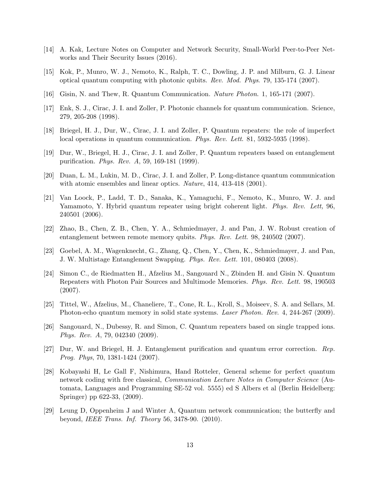- <span id="page-12-1"></span>[14] A. Kak, Lecture Notes on Computer and Network Security, Small-World Peer-to-Peer Networks and Their Security Issues (2016).
- <span id="page-12-0"></span>[15] Kok, P., Munro, W. J., Nemoto, K., Ralph, T. C., Dowling, J. P. and Milburn, G. J. Linear optical quantum computing with photonic qubits. Rev. Mod. Phys. 79, 135-174 (2007).
- [16] Gisin, N. and Thew, R. Quantum Communication. Nature Photon. 1, 165-171 (2007).
- [17] Enk, S. J., Cirac, J. I. and Zoller, P. Photonic channels for quantum communication. Science, 279, 205-208 (1998).
- [18] Briegel, H. J., Dur, W., Cirac, J. I. and Zoller, P. Quantum repeaters: the role of imperfect local operations in quantum communication. *Phys. Rev. Lett.* 81, 5932-5935 (1998).
- [19] Dur, W., Briegel, H. J., Cirac, J. I. and Zoller, P. Quantum repeaters based on entanglement purification. Phys. Rev. A, 59, 169-181 (1999).
- [20] Duan, L. M., Lukin, M. D., Cirac, J. I. and Zoller, P. Long-distance quantum communication with atomic ensembles and linear optics. Nature, 414, 413-418 (2001).
- [21] Van Loock, P., Ladd, T. D., Sanaka, K., Yamaguchi, F., Nemoto, K., Munro, W. J. and Yamamoto, Y. Hybrid quantum repeater using bright coherent light. *Phys. Rev. Lett*, 96, 240501 (2006).
- [22] Zhao, B., Chen, Z. B., Chen, Y. A., Schmiedmayer, J. and Pan, J. W. Robust creation of entanglement between remote memory qubits. Phys. Rev. Lett. 98, 240502 (2007).
- [23] Goebel, A. M., Wagenknecht, G., Zhang, Q., Chen, Y., Chen, K., Schmiedmayer, J. and Pan, J. W. Multistage Entanglement Swapping. Phys. Rev. Lett. 101, 080403 (2008).
- [24] Simon C., de Riedmatten H., Afzelius M., Sangouard N., Zbinden H. and Gisin N. Quantum Repeaters with Photon Pair Sources and Multimode Memories. Phys. Rev. Lett. 98, 190503 (2007).
- [25] Tittel, W., Afzelius, M., Chaneliere, T., Cone, R. L., Kroll, S., Moiseev, S. A. and Sellars, M. Photon-echo quantum memory in solid state systems. Laser Photon. Rev. 4, 244-267 (2009).
- [26] Sangouard, N., Dubessy, R. and Simon, C. Quantum repeaters based on single trapped ions. Phys. Rev. A, 79, 042340 (2009).
- [27] Dur, W. and Briegel, H. J. Entanglement purification and quantum error correction. Rep. Prog. Phys, 70, 1381-1424 (2007).
- [28] Kobayashi H, Le Gall F, Nishimura, Hand Rotteler, General scheme for perfect quantum network coding with free classical, *Communication Lecture Notes in Computer Science* (Automata, Languages and Programming SE-52 vol. 5555) ed S Albers et al (Berlin Heidelberg: Springer) pp 622-33, (2009).
- [29] Leung D, Oppenheim J and Winter A, Quantum network communication; the butterfly and beyond, IEEE Trans. Inf. Theory 56, 3478-90. (2010).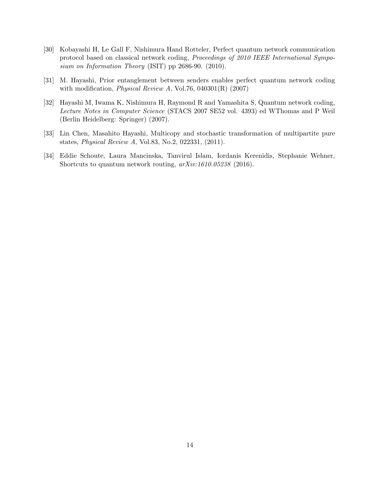- [30] Kobayashi H, Le Gall F, Nishimura Hand Rotteler, Perfect quantum network communication protocol based on classical network coding, Proceedings of 2010 IEEE International Symposium on Information Theory (ISIT) pp 2686-90. (2010).
- [31] M. Hayashi, Prior entanglement between senders enables perfect quantum network coding with modification, *Physical Review A*, Vol.76, 040301 $(R)$  (2007)
- [32] Hayashi M, Iwama K, Nishimura H, Raymond R and Yamashita S, Quantum network coding, Lecture Notes in Computer Science (STACS 2007 SE52 vol. 4393) ed WThomas and P Weil (Berlin Heidelberg: Springer) (2007).
- [33] Lin Chen, Masahito Hayashi, Multicopy and stochastic transformation of multipartite pure states, Physical Review A, Vol.83, No.2, 022331, (2011).
- <span id="page-13-0"></span>[34] Eddie Schoute, Laura Mancinska, Tanvirul Islam, Iordanis Kerenidis, Stephanie Wehner, Shortcuts to quantum network routing, arXiv:1610.05238 (2016).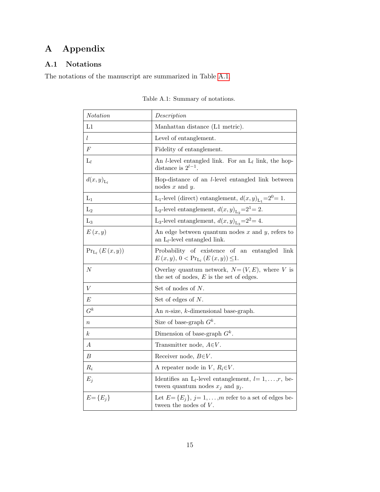# A Appendix

## A.1 Notations

<span id="page-14-0"></span>The notations of the manuscript are summarized in Table [A.1.](#page-14-0)

| <i>Notation</i>    | Description                                                                                                     |
|--------------------|-----------------------------------------------------------------------------------------------------------------|
| L1                 | Manhattan distance (L1 metric).                                                                                 |
| l                  | Level of entanglement.                                                                                          |
| $\cal F$           | Fidelity of entanglement.                                                                                       |
| $L_l$              | An <i>l</i> -level entangled link. For an $L_l$ link, the hop-<br>distance is $2^{l-1}$ .                       |
| $d(x,y)_{L}$       | Hop-distance of an <i>l</i> -level entangled link between<br>nodes $x$ and $y$ .                                |
| $L_1$              | L <sub>1</sub> -level (direct) entanglement, $d(x, y)$ <sub>L<sub>1</sub></sub> =2 <sup>0</sup> = 1.            |
| L <sub>2</sub>     | L <sub>2</sub> -level entanglement, $d(x, y)_{L_2} = 2^1 = 2$ .                                                 |
| $L_3$              | L <sub>3</sub> -level entanglement, $d(x, y)_{L_3} = 2^2 = 4$ .                                                 |
| E(x,y)             | An edge between quantum nodes $x$ and $y$ , refers to<br>an $L_l$ -level entangled link.                        |
| $Pr_{L_l}(E(x,y))$ | Probability of existence of an<br>entangled<br>link<br>$E(x, y), 0 < Pr_{L_l}(E(x, y)) \leq 1.$                 |
| $\cal N$           | Overlay quantum network, $N=(V, E)$ , where V is<br>the set of nodes, $E$ is the set of edges.                  |
| $\boldsymbol{V}$   | Set of nodes of N.                                                                                              |
| E                  | Set of edges of $N$ .                                                                                           |
| $G^k$              | An $n$ -size, $k$ -dimensional base-graph.                                                                      |
| $\it{n}$           | Size of base-graph $G^k$ .                                                                                      |
| $\kappa$           | Dimension of base-graph $G^k$ .                                                                                 |
| А                  | Transmitter node, $A \in V$ .                                                                                   |
| $\boldsymbol{B}$   | Receiver node, $B \in V$ .                                                                                      |
| $R_i$              | A repeater node in V, $R_i \in V$ .                                                                             |
| $E_j$              | Identifies an L <sub>l</sub> -level entanglement, $l=1,\ldots,r$ , be-<br>tween quantum nodes $x_j$ and $y_j$ . |
| $E = \{E_i\}$      | Let $E = \{E_j\}, j = 1, \ldots, m$ refer to a set of edges be-<br>tween the nodes of $V$ .                     |

Table A.1: Summary of notations.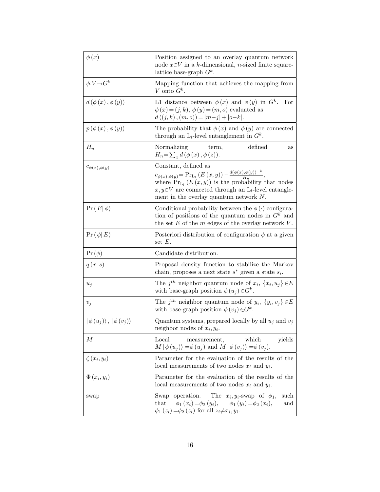| $\phi(x)$                              | Position assigned to an overlay quantum network<br>node $x \in V$ in a k-dimensional, <i>n</i> -sized finite square-<br>lattice base-graph $G^k$ .                                                                                                                                        |
|----------------------------------------|-------------------------------------------------------------------------------------------------------------------------------------------------------------------------------------------------------------------------------------------------------------------------------------------|
| $\phi: V \rightarrow G^k$              | Mapping function that achieves the mapping from<br>V onto $G^k$ .                                                                                                                                                                                                                         |
| $d(\phi(x), \phi(y))$                  | L1 distance between $\phi(x)$ and $\phi(y)$ in $G^k$ .<br>For<br>$\phi(x) = (j, k), \phi(y) = (m, o)$ evaluated as<br>$d((j,k),(m,o)) =  m-j  +  o-k .$                                                                                                                                   |
| $p(\phi(x), \phi(y))$                  | The probability that $\phi(x)$ and $\phi(y)$ are connected<br>through an $L_l$ -level entanglement in $G^k$ .                                                                                                                                                                             |
| $H_n$                                  | Normalizing<br>defined<br>term,<br>as<br>$H_n = \sum_{z} d(\phi(x), \phi(z)).$                                                                                                                                                                                                            |
| $c_{\phi(x),\phi(y)}$                  | Constant, defined as<br>$c_{\phi(x),\phi(y)} = \Pr_{L_l}(E(x,y)) - \frac{d(\phi(x),\phi(y))^{-k}}{H_n},$<br>where $Pr_{L_l}(E(x, y))$ is the probability that nodes<br>$x, y \in V$ are connected through an L <sub>l</sub> -level entangle-<br>ment in the overlay quantum network $N$ . |
| $\Pr(E \phi)$                          | Conditional probability between the $\phi(\cdot)$ configura-<br>tion of positions of the quantum nodes in $G^k$ and<br>the set $E$ of the $m$ edges of the overlay network $V$ .                                                                                                          |
| $\Pr(\phi E)$                          | Posteriori distribution of configuration $\phi$ at a given<br>set $E$ .                                                                                                                                                                                                                   |
| $\Pr\left(\phi\right)$                 | Candidate distribution.                                                                                                                                                                                                                                                                   |
| q(r s)                                 | Proposal density function to stabilize the Markov<br>chain, proposes a next state $s^*$ given a state $s_i$ .                                                                                                                                                                             |
| $u_j$                                  | The $j^{th}$ neighbor quantum node of $x_i$ , $\{x_i, u_j\} \in E$<br>with base-graph position $\phi(u_i) \in G^k$ .                                                                                                                                                                      |
| $v_j$                                  | The $j^{th}$ neighbor quantum node of $y_i$ , $\{y_i, v_j\} \in E$<br>with base-graph position $\phi(v_j) \in G^k$ .                                                                                                                                                                      |
| $ \phi(u_i)\rangle,  \phi(v_i)\rangle$ | Quantum systems, prepared locally by all $u_i$ and $v_i$<br>neighbor nodes of $x_i, y_i$ .                                                                                                                                                                                                |
| М                                      | measurement, which<br>Local<br>yields<br>$M \phi(u_j)\rangle = \phi(u_j)$ and $M \phi(v_j)\rangle = \phi(v_j)$ .                                                                                                                                                                          |
| $\zeta(x_i,y_i)$                       | Parameter for the evaluation of the results of the<br>local measurements of two nodes $x_i$ and $y_i$ .                                                                                                                                                                                   |
| $\Phi(x_i, y_i)$                       | Parameter for the evaluation of the results of the<br>local measurements of two nodes $x_i$ and $y_i$ .                                                                                                                                                                                   |
| swap                                   | Swap operation. The $x_i, y_i$ -swap of $\phi_1$ ,<br>such<br>that $\phi_1(x_i) = \phi_2(y_i), \quad \phi_1(y_i) = \phi_2(x_i),$<br>and<br>$\phi_1(z_i) = \phi_2(z_i)$ for all $z_i \neq x_i, y_i$ .                                                                                      |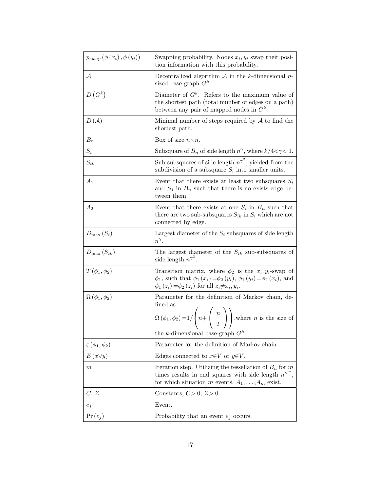| $p_{swap}(\phi(x_i), \phi(y_i))$ | Swapping probability. Nodes $x_i, y_i$ swap their posi-<br>tion information with this probability.                                                                                                                                      |
|----------------------------------|-----------------------------------------------------------------------------------------------------------------------------------------------------------------------------------------------------------------------------------------|
| $\mathcal{A}$                    | Decentralized algorithm $A$ in the k-dimensional n-<br>sized base-graph $G^k$ .                                                                                                                                                         |
| $D(G^k)$                         | Diameter of $G^k$ . Refers to the maximum value of<br>the shortest path (total number of edges on a path)<br>between any pair of mapped nodes in $G^k$ .                                                                                |
| $D(\mathcal{A})$                 | Minimal number of steps required by $A$ to find the<br>shortest path.                                                                                                                                                                   |
| $B_n$                            | Box of size $n \times n$ .                                                                                                                                                                                                              |
| $S_i$                            | Subsquare of $B_n$ of side length $n^{\gamma}$ , where $k/4 < \gamma < 1$ .                                                                                                                                                             |
| $S_{ik}$                         | Sub-subsquares of side length $n^{\gamma^2}$ , yielded from the<br>subdivision of a subsquare $S_i$ into smaller units.                                                                                                                 |
| $A_1$                            | Event that there exists at least two subsquares $S_i$<br>and $S_j$ in $B_n$ such that there is no exists edge be-<br>tween them.                                                                                                        |
| $A_2$                            | Event that there exists at one $S_i$ in $B_n$ such that<br>there are two sub-subsquares $S_{ik}$ in $S_i$ which are not<br>connected by edge.                                                                                           |
| $D_{\max}(S_i)$                  | Largest diameter of the $S_i$ subsquares of side length<br>$n^{\gamma}$ .                                                                                                                                                               |
| $D_{\max}\left(S_{ik}\right)$    | The largest diameter of the $S_{ik}$ sub-subsquares of<br>side length $n^{\gamma^2}$ .                                                                                                                                                  |
| $T\left(\phi_1,\phi_2\right)$    | Transition matrix, where $\phi_2$ is the $x_i, y_i$ -swap of<br>$\phi_1$ , such that $\phi_1(x_i) = \phi_2(y_i)$ , $\phi_1(y_i) = \phi_2(x_i)$ , and<br>$\phi_1(z_i) = \phi_2(z_i)$ for all $z_i \neq x_i, y_i$ .                       |
| $\Omega$ ( $\phi_1, \phi_2$ )    | Parameter for the definition of Markov chain, de-<br>fined as<br>$\Omega(\phi_1, \phi_2) = 1/\left(n + \left(\begin{array}{c} n \\ 2 \end{array}\right)\right)$ , where <i>n</i> is the size of<br>the k-dimensional base-graph $G^k$ . |
| $\varepsilon$ $(\phi_1, \phi_2)$ | Parameter for the definition of Markov chain.                                                                                                                                                                                           |
| $E(x\vee y)$                     | Edges connected to $x \in V$ or $y \in V$ .                                                                                                                                                                                             |
| $_{m}$                           | Iteration step. Utilizing the tessellation of $B_n$ for m<br>times results in end squares with side length $n^{\gamma^m}$ ,<br>for which situation m events, $A_1, \ldots, A_m$ exist.                                                  |
| C, Z                             | Constants, $C>0$ , $Z>0$ .                                                                                                                                                                                                              |
| $e_j$                            | Event.                                                                                                                                                                                                                                  |
| $\Pr(e_j)$                       | Probability that an event $e_j$ occurs.                                                                                                                                                                                                 |